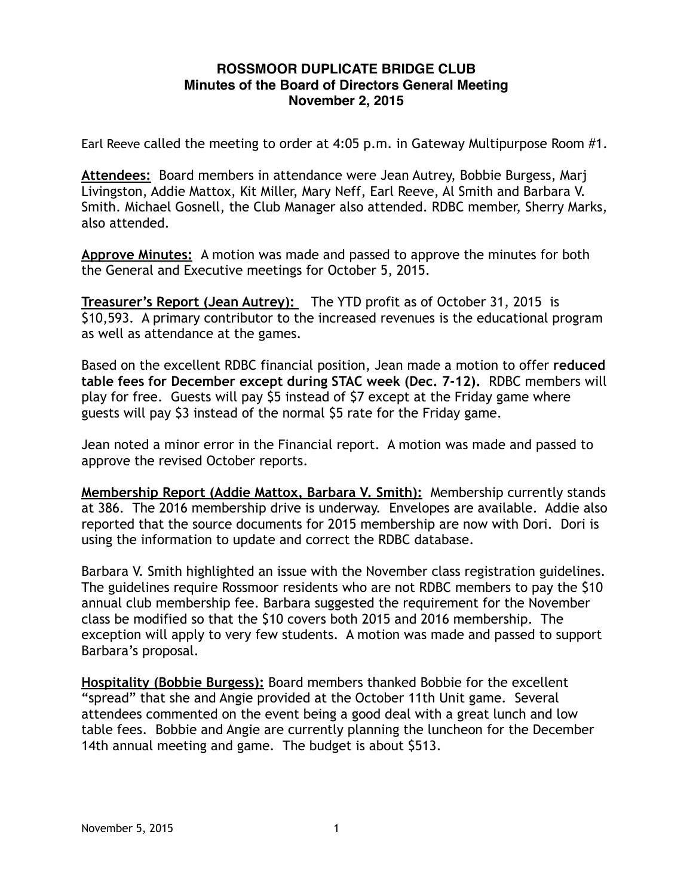## **ROSSMOOR DUPLICATE BRIDGE CLUB Minutes of the Board of Directors General Meeting November 2, 2015**

Earl Reeve called the meeting to order at 4:05 p.m. in Gateway Multipurpose Room #1.

**Attendees:** Board members in attendance were Jean Autrey, Bobbie Burgess, Marj Livingston, Addie Mattox, Kit Miller, Mary Neff, Earl Reeve, Al Smith and Barbara V. Smith. Michael Gosnell, the Club Manager also attended. RDBC member, Sherry Marks, also attended.

**Approve Minutes:** A motion was made and passed to approve the minutes for both the General and Executive meetings for October 5, 2015.

**Treasurer's Report (Jean Autrey):** The YTD profit as of October 31, 2015 is \$10,593. A primary contributor to the increased revenues is the educational program as well as attendance at the games.

Based on the excellent RDBC financial position, Jean made a motion to offer **reduced table fees for December except during STAC week (Dec. 7-12).** RDBC members will play for free. Guests will pay \$5 instead of \$7 except at the Friday game where guests will pay \$3 instead of the normal \$5 rate for the Friday game.

Jean noted a minor error in the Financial report. A motion was made and passed to approve the revised October reports.

**Membership Report (Addie Mattox, Barbara V. Smith):** Membership currently stands at 386. The 2016 membership drive is underway. Envelopes are available. Addie also reported that the source documents for 2015 membership are now with Dori. Dori is using the information to update and correct the RDBC database.

Barbara V. Smith highlighted an issue with the November class registration guidelines. The guidelines require Rossmoor residents who are not RDBC members to pay the \$10 annual club membership fee. Barbara suggested the requirement for the November class be modified so that the \$10 covers both 2015 and 2016 membership. The exception will apply to very few students. A motion was made and passed to support Barbara's proposal.

**Hospitality (Bobbie Burgess):** Board members thanked Bobbie for the excellent "spread" that she and Angie provided at the October 11th Unit game. Several attendees commented on the event being a good deal with a great lunch and low table fees. Bobbie and Angie are currently planning the luncheon for the December 14th annual meeting and game. The budget is about \$513.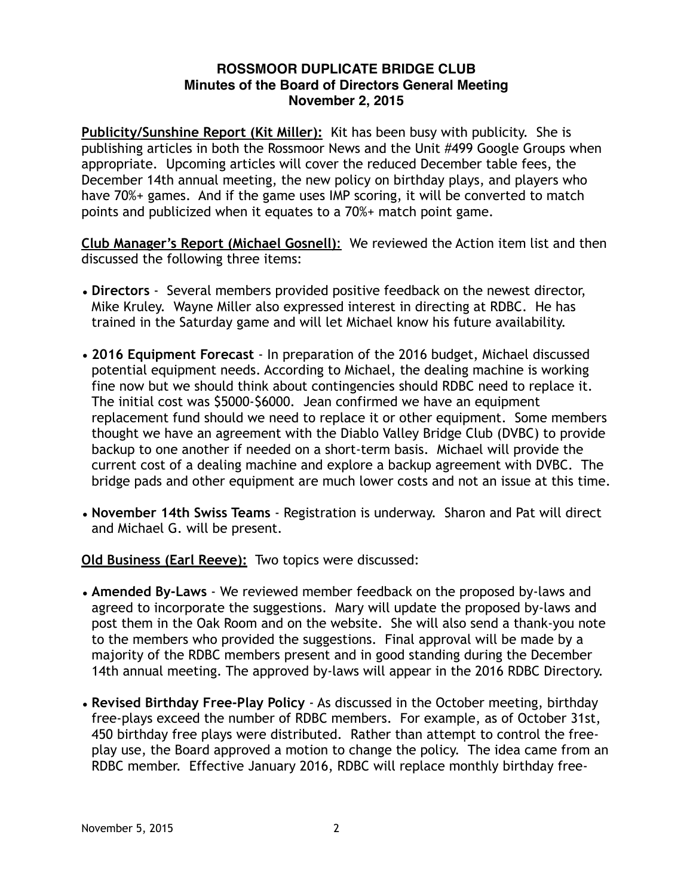## **ROSSMOOR DUPLICATE BRIDGE CLUB Minutes of the Board of Directors General Meeting November 2, 2015**

**Publicity/Sunshine Report (Kit Miller):** Kit has been busy with publicity. She is publishing articles in both the Rossmoor News and the Unit #499 Google Groups when appropriate. Upcoming articles will cover the reduced December table fees, the December 14th annual meeting, the new policy on birthday plays, and players who have 70%+ games. And if the game uses IMP scoring, it will be converted to match points and publicized when it equates to a 70%+ match point game.

**Club Manager's Report (Michael Gosnell)**: We reviewed the Action item list and then discussed the following three items:

- **Directors** Several members provided positive feedback on the newest director, Mike Kruley. Wayne Miller also expressed interest in directing at RDBC. He has trained in the Saturday game and will let Michael know his future availability.
- **2016 Equipment Forecast** In preparation of the 2016 budget, Michael discussed potential equipment needs. According to Michael, the dealing machine is working fine now but we should think about contingencies should RDBC need to replace it. The initial cost was \$5000-\$6000. Jean confirmed we have an equipment replacement fund should we need to replace it or other equipment. Some members thought we have an agreement with the Diablo Valley Bridge Club (DVBC) to provide backup to one another if needed on a short-term basis. Michael will provide the current cost of a dealing machine and explore a backup agreement with DVBC. The bridge pads and other equipment are much lower costs and not an issue at this time.
- **November 14th Swiss Teams**  Registration is underway. Sharon and Pat will direct and Michael G. will be present.

**Old Business (Earl Reeve):** Two topics were discussed:

- **Amended By-Laws** We reviewed member feedback on the proposed by-laws and agreed to incorporate the suggestions. Mary will update the proposed by-laws and post them in the Oak Room and on the website. She will also send a thank-you note to the members who provided the suggestions. Final approval will be made by a majority of the RDBC members present and in good standing during the December 14th annual meeting. The approved by-laws will appear in the 2016 RDBC Directory.
- **Revised Birthday Free-Play Policy**  As discussed in the October meeting, birthday free-plays exceed the number of RDBC members. For example, as of October 31st, 450 birthday free plays were distributed. Rather than attempt to control the freeplay use, the Board approved a motion to change the policy. The idea came from an RDBC member. Effective January 2016, RDBC will replace monthly birthday free-